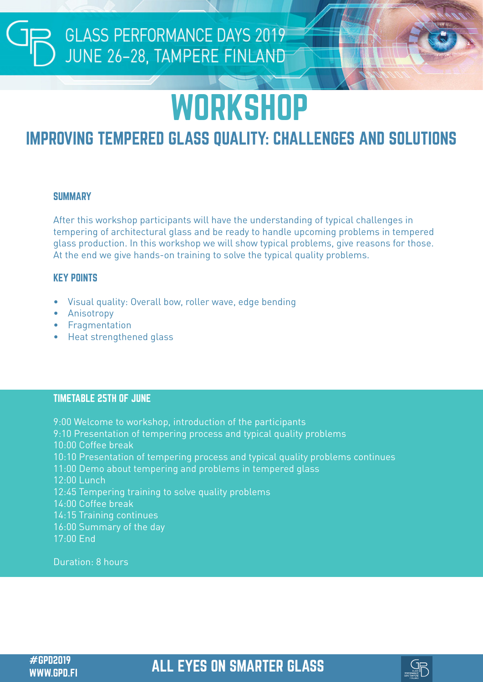# **GLASS PERFORMANCE DAYS 2019**<br>JUNE 26-28, TAMPERE FINLAND

## **WORKSHOP**

### IMPROVING TEMPERED GLASS QUALITY: CHALLENGES AND SOLUTIONS

#### **SUMMARY**

After this workshop participants will have the understanding of typical challenges in tempering of architectural glass and be ready to handle upcoming problems in tempered glass production. In this workshop we will show typical problems, give reasons for those. At the end we give hands-on training to solve the typical quality problems.

#### KEY POINTS

- Visual quality: Overall bow, roller wave, edge bending
- **Anisotropy**
- **Fragmentation**
- Heat strengthened glass

#### TIMETABLE 25TH OF JUNE

9:00 Welcome to workshop, introduction of the participants 9:10 Presentation of tempering process and typical quality problems 10:00 Coffee break 10:10 Presentation of tempering process and typical quality problems continues 11:00 Demo about tempering and problems in tempered glass 12:00 Lunch 12:45 Tempering training to solve quality problems 14:00 Coffee break 14:15 Training continues 16:00 Summary of the day 17:00 End

Duration: 8 hours

#GPD2019 ALL EYES ON SMARTER GLASS